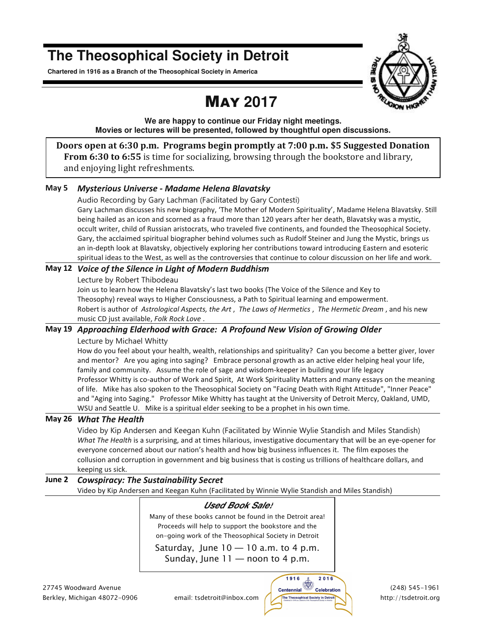## **The Theosophical Society in Detroit**

**Chartered in 1916 as a Branch of the Theosophical Society in America** 

# MAY **2017**



**We are happy to continue our Friday night meetings. Movies or lectures will be presented, followed by thoughtful open discussions.** 

**Doors open at 6:30 p.m. Programs begin promptly at 7:00 p.m. \$5 Suggested Donation From 6:30 to 6:55** is time for socializing, browsing through the bookstore and library, and enjoying light refreshments.

### **May 5** *Mysterious Universe - Madame Helena Blavatsky*

Audio Recording by Gary Lachman (Facilitated by Gary Contesti) Gary Lachman discusses his new biography, 'The Mother of Modern Spirituality', Madame Helena Blavatsky. Still being hailed as an icon and scorned as a fraud more than 120 years after her death, Blavatsky was a mystic, occult writer, child of Russian aristocrats, who traveled five continents, and founded the Theosophical Society. Gary, the acclaimed spiritual biographer behind volumes such as Rudolf Steiner and Jung the Mystic, brings us an in-depth look at Blavatsky, objectively exploring her contributions toward introducing Eastern and esoteric spiritual ideas to the West, as well as the controversies that continue to colour discussion on her life and work.

### **May 12** *Voice of the Silence in Light of Modern Buddhism*

Lecture by Robert Thibodeau

Join us to learn how the Helena Blavatsky's last two books (The Voice of the Silence and Key to Theosophy) reveal ways to Higher Consciousness, a Path to Spiritual learning and empowerment. Robert is author of *Astrological Aspects, the Art* , *The Laws of Hermetics* , *The Hermetic Dream* , and his new music CD just available, *Folk Rock Love* .

### **May 19** *Approaching Elderhood with Grace: A Profound New Vision of Growing Older*

Lecture by Michael Whitty

How do you feel about your health, wealth, relationships and spirituality? Can you become a better giver, lover and mentor? Are you aging into saging? Embrace personal growth as an active elder helping heal your life, family and community. Assume the role of sage and wisdom-keeper in building your life legacy Professor Whitty is co-author of Work and Spirit, At Work Spirituality Matters and many essays on the meaning of life. Mike has also spoken to the Theosophical Society on "Facing Death with Right Attitude", "Inner Peace" and "Aging into Saging." Professor Mike Whitty has taught at the University of Detroit Mercy, Oakland, UMD, WSU and Seattle U. Mike is a spiritual elder seeking to be a prophet in his own time.

### **May 26** *What The Health*

Video by Kip Andersen and Keegan Kuhn (Facilitated by Winnie Wylie Standish and Miles Standish) *What The Health* is a surprising, and at times hilarious, investigative documentary that will be an eye-opener for everyone concerned about our nation's health and how big business influences it. The film exposes the collusion and corruption in government and big business that is costing us trillions of healthcare dollars, and keeping us sick.

### **June 2** *Cowspiracy: The Sustainability Secret*

Video by Kip Andersen and Keegan Kuhn (Facilitated by Winnie Wylie Standish and Miles Standish)

### **Used Book Sale!**

Many of these books cannot be found in the Detroit area! Proceeds will help to support the bookstore and the on-going work of the Theosophical Society in Detroit

Saturday, June  $10 - 10$  a.m. to 4 p.m. Sunday, June  $11 -$  noon to 4 p.m.